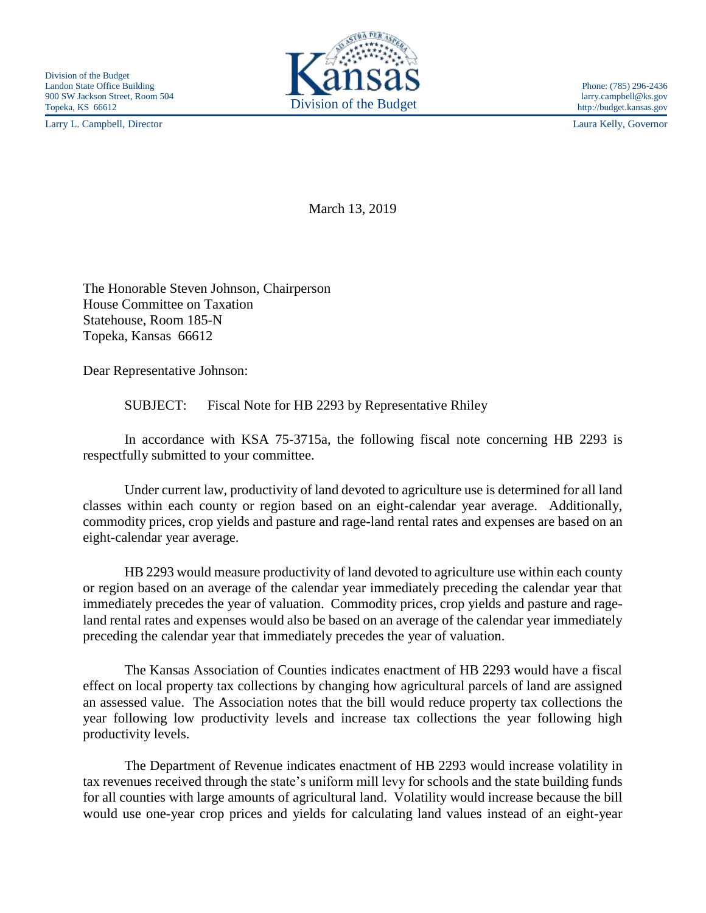Larry L. Campbell, Director Laura Kelly, Governor



March 13, 2019

The Honorable Steven Johnson, Chairperson House Committee on Taxation Statehouse, Room 185-N Topeka, Kansas 66612

Dear Representative Johnson:

SUBJECT: Fiscal Note for HB 2293 by Representative Rhiley

In accordance with KSA 75-3715a, the following fiscal note concerning HB 2293 is respectfully submitted to your committee.

Under current law, productivity of land devoted to agriculture use is determined for all land classes within each county or region based on an eight-calendar year average. Additionally, commodity prices, crop yields and pasture and rage-land rental rates and expenses are based on an eight-calendar year average.

HB 2293 would measure productivity of land devoted to agriculture use within each county or region based on an average of the calendar year immediately preceding the calendar year that immediately precedes the year of valuation. Commodity prices, crop yields and pasture and rageland rental rates and expenses would also be based on an average of the calendar year immediately preceding the calendar year that immediately precedes the year of valuation.

The Kansas Association of Counties indicates enactment of HB 2293 would have a fiscal effect on local property tax collections by changing how agricultural parcels of land are assigned an assessed value. The Association notes that the bill would reduce property tax collections the year following low productivity levels and increase tax collections the year following high productivity levels.

The Department of Revenue indicates enactment of HB 2293 would increase volatility in tax revenues received through the state's uniform mill levy for schools and the state building funds for all counties with large amounts of agricultural land. Volatility would increase because the bill would use one-year crop prices and yields for calculating land values instead of an eight-year